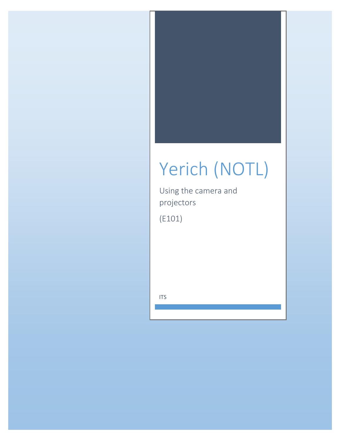# Yerich (NOTL)

Using the camera and projectors

 $(E101)$ 

**ITS**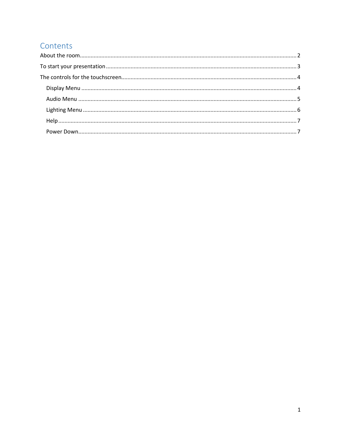# Contents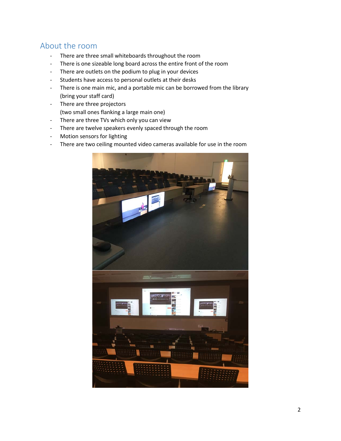## <span id="page-2-0"></span>About the room

- There are three small whiteboards throughout the room
- There is one sizeable long board across the entire front of the room
- There are outlets on the podium to plug in your devices
- Students have access to personal outlets at their desks
- There is one main mic, and a portable mic can be borrowed from the library (bring your staff card)
- There are three projectors (two small ones flanking a large main one)
- There are three TVs which only you can view
- There are twelve speakers evenly spaced through the room
- Motion sensors for lighting
- There are two ceiling mounted video cameras available for use in the room

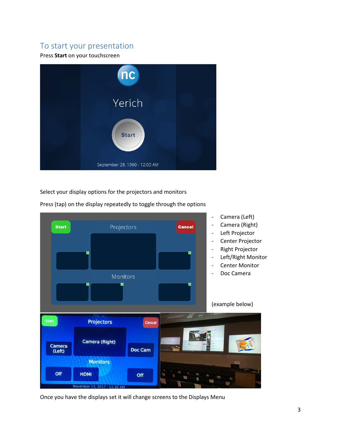## <span id="page-3-0"></span>To start your presentation

#### Press **Start** on your touchscreen



Select your display options for the projectors and monitors



Press (tap) on the display repeatedly to toggle through the options

Once you have the displays set it will change screens to the Displays Menu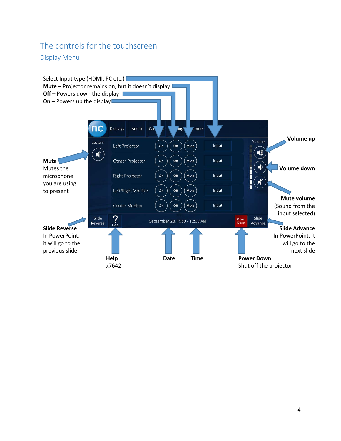# <span id="page-4-0"></span>The controls for the touchscreen

<span id="page-4-1"></span>Display Menu

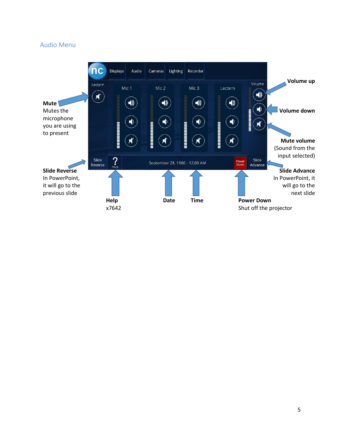### <span id="page-5-0"></span>Audio Menu

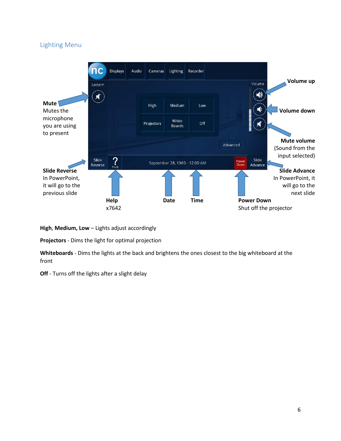## <span id="page-6-0"></span>Lighting Menu



**High**, **Medium, Low** – Lights adjust accordingly

**Projectors** - Dims the light for optimal projection

**Whiteboards** - Dims the lights at the back and brightens the ones closest to the big whiteboard at the front

**Off** - Turns off the lights after a slight delay